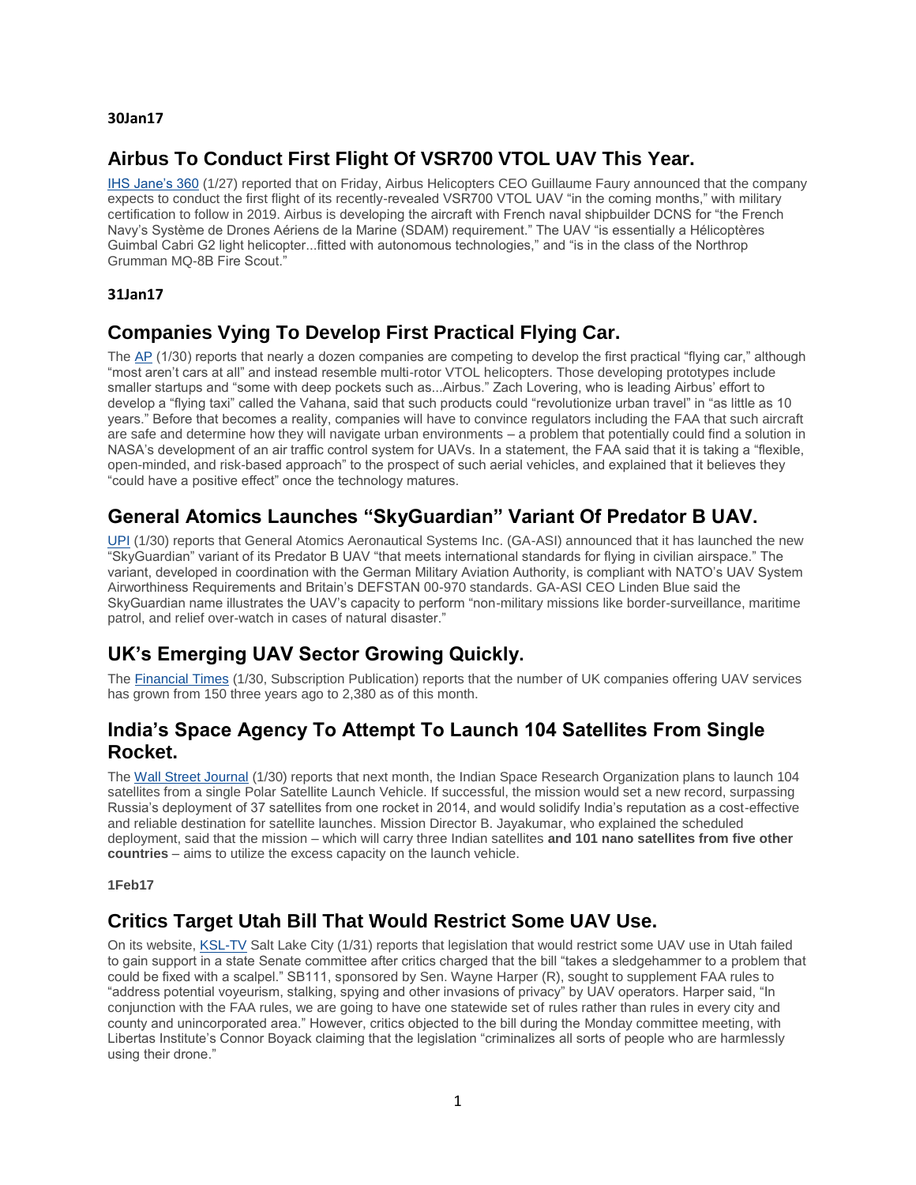#### **30Jan17**

### **Airbus To Conduct First Flight Of VSR700 VTOL UAV This Year.**

[IHS Jane's 360](http://mailview.bulletinmedia.com/mailview.aspx?m=2017013001aiaa&r=2980706-2068&l=006-255&t=c) (1/27) reported that on Friday, Airbus Helicopters CEO Guillaume Faury announced that the company expects to conduct the first flight of its recently-revealed VSR700 VTOL UAV "in the coming months," with military certification to follow in 2019. Airbus is developing the aircraft with French naval shipbuilder DCNS for "the French Navy's Système de Drones Aériens de la Marine (SDAM) requirement." The UAV "is essentially a Hélicoptères Guimbal Cabri G2 light helicopter...fitted with autonomous technologies," and "is in the class of the Northrop Grumman MQ-8B Fire Scout."

#### **31Jan17**

### **Companies Vying To Develop First Practical Flying Car.**

The [AP](http://mailview.bulletinmedia.com/mailview.aspx?m=2017013101aiaa&r=2980706-1488&l=004-125&t=c) (1/30) reports that nearly a dozen companies are competing to develop the first practical "flying car," although "most aren't cars at all" and instead resemble multi-rotor VTOL helicopters. Those developing prototypes include smaller startups and "some with deep pockets such as...Airbus." Zach Lovering, who is leading Airbus' effort to develop a "flying taxi" called the Vahana, said that such products could "revolutionize urban travel" in "as little as 10 years." Before that becomes a reality, companies will have to convince regulators including the FAA that such aircraft are safe and determine how they will navigate urban environments – a problem that potentially could find a solution in NASA's development of an air traffic control system for UAVs. In a statement, the FAA said that it is taking a "flexible, open-minded, and risk-based approach" to the prospect of such aerial vehicles, and explained that it believes they "could have a positive effect" once the technology matures.

# **General Atomics Launches "SkyGuardian" Variant Of Predator B UAV.**

[UPI](http://mailview.bulletinmedia.com/mailview.aspx?m=2017013101aiaa&r=2980706-1488&l=006-a03&t=c) (1/30) reports that General Atomics Aeronautical Systems Inc. (GA-ASI) announced that it has launched the new "SkyGuardian" variant of its Predator B UAV "that meets international standards for flying in civilian airspace." The variant, developed in coordination with the German Military Aviation Authority, is compliant with NATO's UAV System Airworthiness Requirements and Britain's DEFSTAN 00-970 standards. GA-ASI CEO Linden Blue said the SkyGuardian name illustrates the UAV's capacity to perform "non-military missions like border-surveillance, maritime patrol, and relief over-watch in cases of natural disaster."

## **UK's Emerging UAV Sector Growing Quickly.**

The [Financial Times](http://mailview.bulletinmedia.com/mailview.aspx?m=2017013101aiaa&r=2980706-1488&l=008-e88&t=c) (1/30, Subscription Publication) reports that the number of UK companies offering UAV services has grown from 150 three years ago to 2,380 as of this month.

### **India's Space Agency To Attempt To Launch 104 Satellites From Single Rocket.**

The [Wall Street Journal](http://mailview.bulletinmedia.com/mailview.aspx?m=2017013101aiaa&r=2980706-1488&l=016-2ce&t=c) (1/30) reports that next month, the Indian Space Research Organization plans to launch 104 satellites from a single Polar Satellite Launch Vehicle. If successful, the mission would set a new record, surpassing Russia's deployment of 37 satellites from one rocket in 2014, and would solidify India's reputation as a cost-effective and reliable destination for satellite launches. Mission Director B. Jayakumar, who explained the scheduled deployment, said that the mission – which will carry three Indian satellites **and 101 nano satellites from five other countries** – aims to utilize the excess capacity on the launch vehicle.

**1Feb17**

### **Critics Target Utah Bill That Would Restrict Some UAV Use.**

On its website, [KSL-TV](http://mailview.bulletinmedia.com/mailview.aspx?m=2017020101aiaa&r=2980706-db54&l=022-6a4&t=c) Salt Lake City (1/31) reports that legislation that would restrict some UAV use in Utah failed to gain support in a state Senate committee after critics charged that the bill "takes a sledgehammer to a problem that could be fixed with a scalpel." SB111, sponsored by Sen. Wayne Harper (R), sought to supplement FAA rules to "address potential voyeurism, stalking, spying and other invasions of privacy" by UAV operators. Harper said, "In conjunction with the FAA rules, we are going to have one statewide set of rules rather than rules in every city and county and unincorporated area." However, critics objected to the bill during the Monday committee meeting, with Libertas Institute's Connor Boyack claiming that the legislation "criminalizes all sorts of people who are harmlessly using their drone."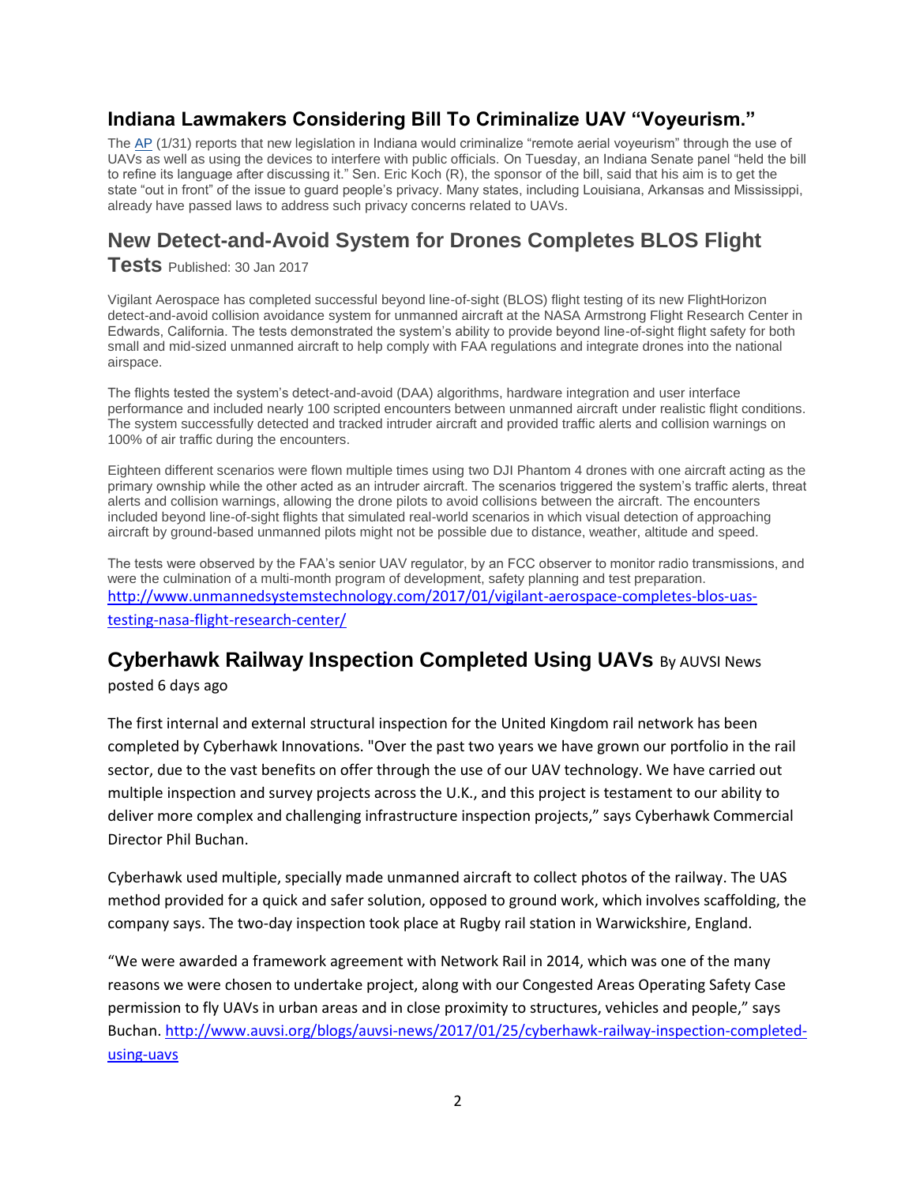## **Indiana Lawmakers Considering Bill To Criminalize UAV "Voyeurism."**

The [AP](http://mailview.bulletinmedia.com/mailview.aspx?m=2017020101aiaa&r=2980706-db54&l=023-79f&t=c) (1/31) reports that new legislation in Indiana would criminalize "remote aerial voyeurism" through the use of UAVs as well as using the devices to interfere with public officials. On Tuesday, an Indiana Senate panel "held the bill to refine its language after discussing it." Sen. Eric Koch (R), the sponsor of the bill, said that his aim is to get the state "out in front" of the issue to guard people's privacy. Many states, including Louisiana, Arkansas and Mississippi, already have passed laws to address such privacy concerns related to UAVs.

# **New Detect-and-Avoid System for Drones Completes BLOS Flight**

**Tests** Published: 30 Jan 2017

Vigilant Aerospace has completed successful beyond line-of-sight (BLOS) flight testing of its new FlightHorizon detect-and-avoid collision avoidance system for unmanned aircraft at the NASA Armstrong Flight Research Center in Edwards, California. The tests demonstrated the system's ability to provide beyond line-of-sight flight safety for both small and mid-sized unmanned aircraft to help comply with FAA regulations and integrate drones into the national airspace.

The flights tested the system's detect-and-avoid (DAA) algorithms, hardware integration and user interface performance and included nearly 100 scripted encounters between unmanned aircraft under realistic flight conditions. The system successfully detected and tracked intruder aircraft and provided traffic alerts and collision warnings on 100% of air traffic during the encounters.

Eighteen different scenarios were flown multiple times using two DJI Phantom 4 drones with one aircraft acting as the primary ownship while the other acted as an intruder aircraft. The scenarios triggered the system's traffic alerts, threat alerts and collision warnings, allowing the drone pilots to avoid collisions between the aircraft. The encounters included beyond line-of-sight flights that simulated real-world scenarios in which visual detection of approaching aircraft by ground-based unmanned pilots might not be possible due to distance, weather, altitude and speed.

The tests were observed by the FAA's senior UAV regulator, by an FCC observer to monitor radio transmissions, and were the culmination of a multi-month program of development, safety planning and test preparation. [http://www.unmannedsystemstechnology.com/2017/01/vigilant-aerospace-completes-blos-uas](http://www.unmannedsystemstechnology.com/2017/01/vigilant-aerospace-completes-blos-uas-testing-nasa-flight-research-center/)[testing-nasa-flight-research-center/](http://www.unmannedsystemstechnology.com/2017/01/vigilant-aerospace-completes-blos-uas-testing-nasa-flight-research-center/)

# **Cyberhawk Railway Inspection Completed Using UAVs** By AUVSI News

posted 6 days ago

The first internal and external structural inspection for the United Kingdom rail network has been completed by Cyberhawk Innovations. "Over the past two years we have grown our portfolio in the rail sector, due to the vast benefits on offer through the use of our UAV technology. We have carried out multiple inspection and survey projects across the U.K., and this project is testament to our ability to deliver more complex and challenging infrastructure inspection projects," says Cyberhawk Commercial Director Phil Buchan.

Cyberhawk used multiple, specially made unmanned aircraft to collect photos of the railway. The UAS method provided for a quick and safer solution, opposed to ground work, which involves scaffolding, the company says. The two-day inspection took place at Rugby rail station in Warwickshire, England.

"We were awarded a framework agreement with Network Rail in 2014, which was one of the many reasons we were chosen to undertake project, along with our Congested Areas Operating Safety Case permission to fly UAVs in urban areas and in close proximity to structures, vehicles and people," says Buchan[. http://www.auvsi.org/blogs/auvsi-news/2017/01/25/cyberhawk-railway-inspection-completed](http://www.auvsi.org/blogs/auvsi-news/2017/01/25/cyberhawk-railway-inspection-completed-using-uavs)[using-uavs](http://www.auvsi.org/blogs/auvsi-news/2017/01/25/cyberhawk-railway-inspection-completed-using-uavs)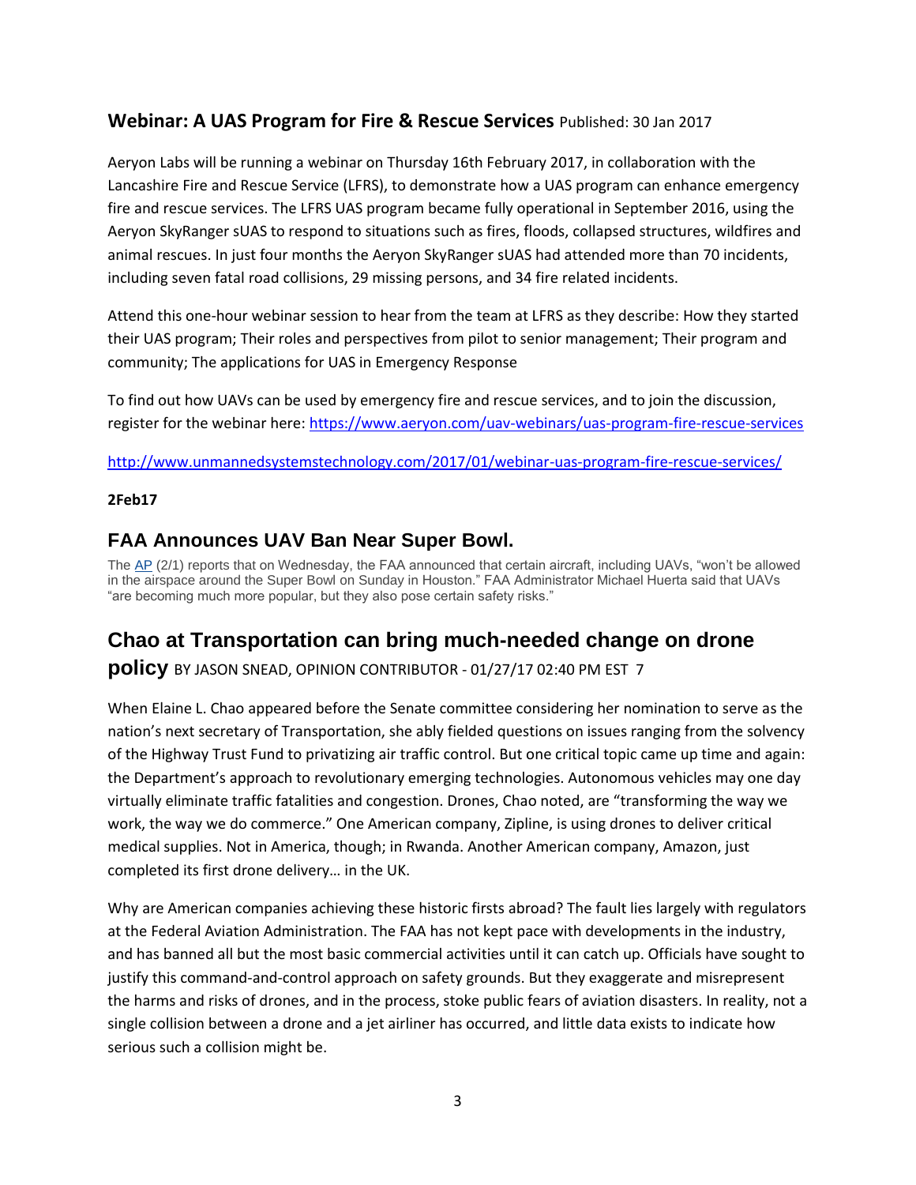### **Webinar: A UAS Program for Fire & Rescue Services** Published: 30 Jan 2017

Aeryon Labs will be running a webinar on Thursday 16th February 2017, in collaboration with the Lancashire Fire and Rescue Service (LFRS), to demonstrate how a UAS program can enhance emergency fire and rescue services. The LFRS UAS program became fully operational in September 2016, using the Aeryon SkyRanger sUAS to respond to situations such as fires, floods, collapsed structures, wildfires and animal rescues. In just four months the Aeryon SkyRanger sUAS had attended more than 70 incidents, including seven fatal road collisions, 29 missing persons, and 34 fire related incidents.

Attend this one-hour webinar session to hear from the team at LFRS as they describe: How they started their UAS program; Their roles and perspectives from pilot to senior management; Their program and community; The applications for UAS in Emergency Response

To find out how UAVs can be used by emergency fire and rescue services, and to join the discussion, register for the webinar here[: https://www.aeryon.com/uav-webinars/uas-program-fire-rescue-services](https://www.aeryon.com/uav-webinars/uas-program-fire-rescue-services)

<http://www.unmannedsystemstechnology.com/2017/01/webinar-uas-program-fire-rescue-services/>

### **2Feb17**

## **FAA Announces UAV Ban Near Super Bowl.**

The [AP](http://mailview.bulletinmedia.com/mailview.aspx?m=2017020201aiaa&r=2980706-cbeb&l=00b-56f&t=c) (2/1) reports that on Wednesday, the FAA announced that certain aircraft, including UAVs, "won't be allowed in the airspace around the Super Bowl on Sunday in Houston." FAA Administrator Michael Huerta said that UAVs "are becoming much more popular, but they also pose certain safety risks."

# **Chao at Transportation can bring much-needed change on drone**

**policy** BY JASON SNEAD, OPINION CONTRIBUTOR - 01/27/17 02:40 PM EST 7

When Elaine L. Chao appeared before the Senate committee considering her nomination to serve as the nation's next secretary of Transportation, she ably fielded questions on issues ranging from the solvency of the Highway Trust Fund to privatizing air traffic control. But one critical topic came up time and again: the Department's approach to revolutionary emerging technologies. Autonomous vehicles may one day virtually eliminate traffic fatalities and congestion. Drones, Chao noted, are "transforming the way we work, the way we do commerce." One American company, Zipline, is using drones to deliver critical medical supplies. Not in America, though; in Rwanda. Another American company, Amazon, just completed its first drone delivery… in the UK.

Why are American companies achieving these historic firsts abroad? The fault lies largely with regulators at the Federal Aviation Administration. The FAA has not kept pace with developments in the industry, and has banned all but the most basic commercial activities until it can catch up. Officials have sought to justify this command-and-control approach on safety grounds. But they exaggerate and misrepresent the harms and risks of drones, and in the process, stoke public fears of aviation disasters. In reality, not a single collision between a drone and a jet airliner has occurred, and little data exists to indicate how serious such a collision might be.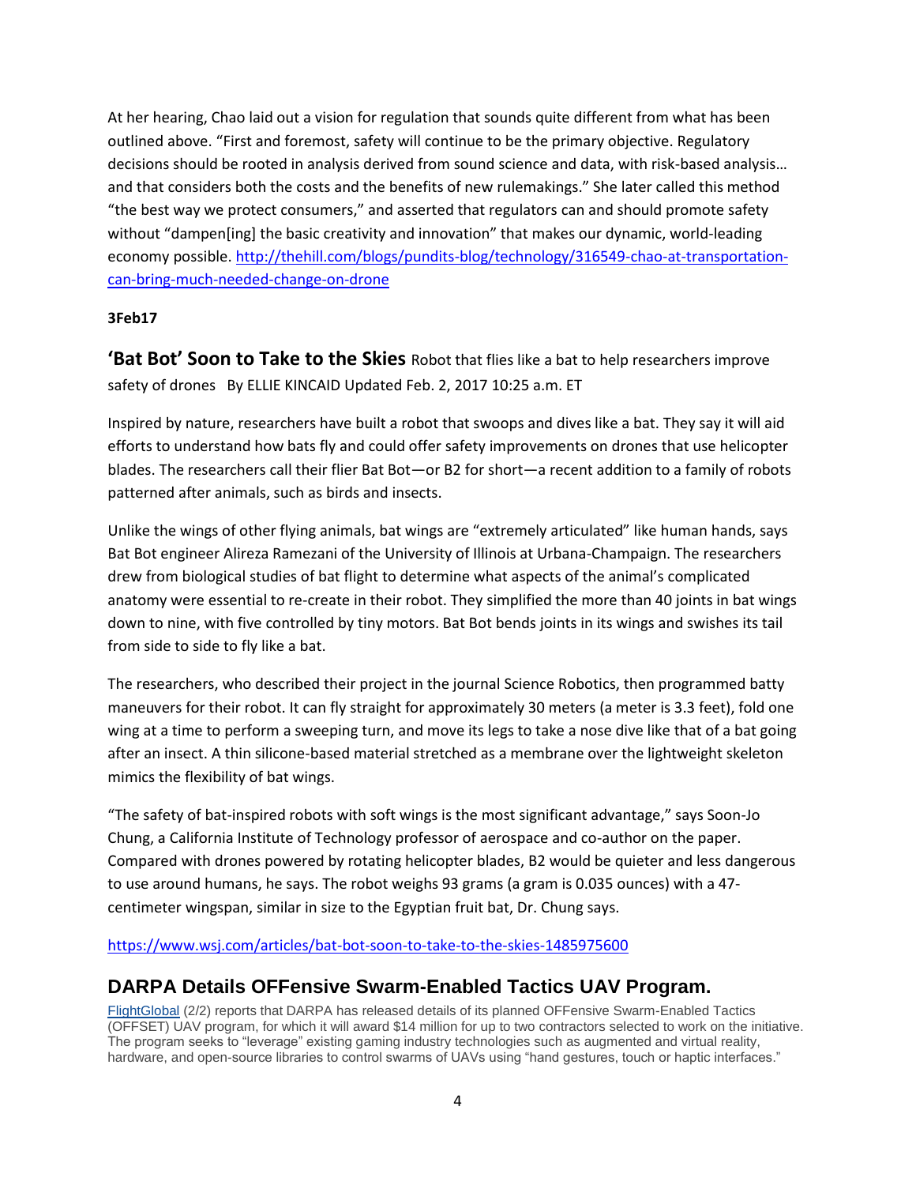At her hearing, Chao laid out a vision for regulation that sounds quite different from what has been outlined above. "First and foremost, safety will continue to be the primary objective. Regulatory decisions should be rooted in analysis derived from sound science and data, with risk-based analysis… and that considers both the costs and the benefits of new rulemakings." She later called this method "the best way we protect consumers," and asserted that regulators can and should promote safety without "dampen[ing] the basic creativity and innovation" that makes our dynamic, world-leading economy possible[. http://thehill.com/blogs/pundits-blog/technology/316549-chao-at-transportation](http://thehill.com/blogs/pundits-blog/technology/316549-chao-at-transportation-can-bring-much-needed-change-on-drone)[can-bring-much-needed-change-on-drone](http://thehill.com/blogs/pundits-blog/technology/316549-chao-at-transportation-can-bring-much-needed-change-on-drone)

### **3Feb17**

**'Bat Bot' Soon to Take to the Skies** Robot that flies like a bat to help researchers improve safety of drones By ELLIE KINCAID Updated Feb. 2, 2017 10:25 a.m. ET

Inspired by nature, researchers have built a robot that swoops and dives like a bat. They say it will aid efforts to understand how bats fly and could offer safety improvements on drones that use helicopter blades. The researchers call their flier Bat Bot—or B2 for short—a recent addition to a family of robots patterned after animals, such as birds and insects.

Unlike the wings of other flying animals, bat wings are "extremely articulated" like human hands, says Bat Bot engineer Alireza Ramezani of the University of Illinois at Urbana-Champaign. The researchers drew from biological studies of bat flight to determine what aspects of the animal's complicated anatomy were essential to re-create in their robot. They simplified the more than 40 joints in bat wings down to nine, with five controlled by tiny motors. Bat Bot bends joints in its wings and swishes its tail from side to side to fly like a bat.

The researchers, who described their project in the journal Science Robotics, then programmed batty maneuvers for their robot. It can fly straight for approximately 30 meters (a meter is 3.3 feet), fold one wing at a time to perform a sweeping turn, and move its legs to take a nose dive like that of a bat going after an insect. A thin silicone-based material stretched as a membrane over the lightweight skeleton mimics the flexibility of bat wings.

"The safety of bat-inspired robots with soft wings is the most significant advantage," says Soon-Jo Chung, a California Institute of Technology professor of aerospace and co-author on the paper. Compared with drones powered by rotating helicopter blades, B2 would be quieter and less dangerous to use around humans, he says. The robot weighs 93 grams (a gram is 0.035 ounces) with a 47 centimeter wingspan, similar in size to the Egyptian fruit bat, Dr. Chung says.

<https://www.wsj.com/articles/bat-bot-soon-to-take-to-the-skies-1485975600>

### **DARPA Details OFFensive Swarm-Enabled Tactics UAV Program.**

[FlightGlobal](http://mailview.bulletinmedia.com/mailview.aspx?m=2017020301aiaa&r=2980706-1fcf&l=00a-12f&t=c) (2/2) reports that DARPA has released details of its planned OFFensive Swarm-Enabled Tactics (OFFSET) UAV program, for which it will award \$14 million for up to two contractors selected to work on the initiative. The program seeks to "leverage" existing gaming industry technologies such as augmented and virtual reality, hardware, and open-source libraries to control swarms of UAVs using "hand gestures, touch or haptic interfaces."